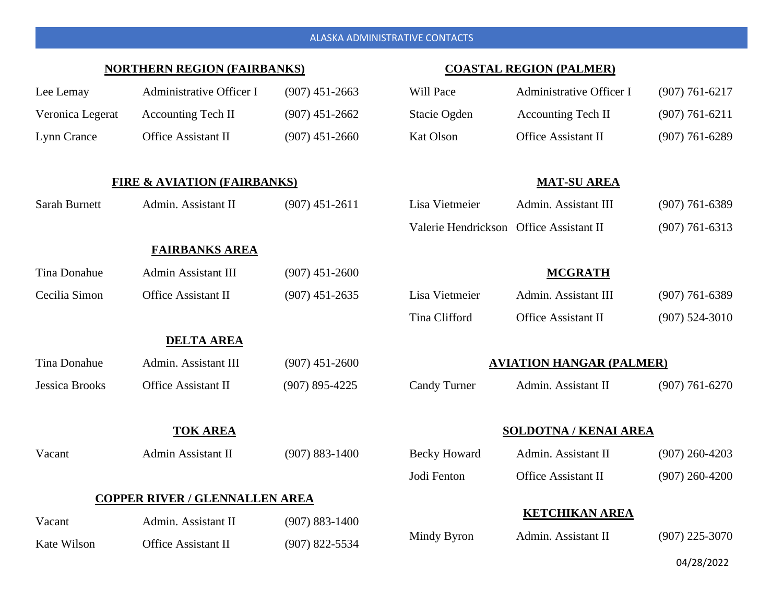| <b>NORTHERN REGION (FAIRBANKS)</b>     |                            |                    | <b>COASTAL REGION (PALMER)</b>          |                            |                    |
|----------------------------------------|----------------------------|--------------------|-----------------------------------------|----------------------------|--------------------|
| Lee Lemay                              | Administrative Officer I   | $(907)$ 451-2663   | Will Pace                               | Administrative Officer I   | $(907) 761 - 6217$ |
| Veronica Legerat                       | <b>Accounting Tech II</b>  | $(907)$ 451-2662   | Stacie Ogden                            | <b>Accounting Tech II</b>  | $(907) 761 - 6211$ |
| Lynn Crance                            | <b>Office Assistant II</b> | $(907)$ 451-2660   | <b>Kat Olson</b>                        | Office Assistant II        | $(907) 761 - 6289$ |
|                                        |                            |                    |                                         |                            |                    |
| <b>FIRE &amp; AVIATION (FAIRBANKS)</b> |                            |                    | <b>MAT-SU AREA</b>                      |                            |                    |
| <b>Sarah Burnett</b>                   | Admin. Assistant II        | $(907)$ 451-2611   | Lisa Vietmeier                          | Admin. Assistant III       | $(907) 761 - 6389$ |
|                                        |                            |                    | Valerie Hendrickson Office Assistant II |                            | $(907) 761 - 6313$ |
|                                        | <b>FAIRBANKS AREA</b>      |                    |                                         |                            |                    |
| <b>Tina Donahue</b>                    | Admin Assistant III        | $(907)$ 451-2600   |                                         | <b>MCGRATH</b>             |                    |
| Cecilia Simon                          | <b>Office Assistant II</b> | $(907)$ 451-2635   | Lisa Vietmeier                          | Admin. Assistant III       | $(907) 761 - 6389$ |
|                                        |                            |                    | Tina Clifford                           | <b>Office Assistant II</b> | $(907) 524 - 3010$ |
| <b>DELTA AREA</b>                      |                            |                    |                                         |                            |                    |
| Tina Donahue                           | Admin. Assistant III       | $(907)$ 451-2600   | <b>AVIATION HANGAR (PALMER)</b>         |                            |                    |
| <b>Jessica Brooks</b>                  | <b>Office Assistant II</b> | $(907) 895 - 4225$ | <b>Candy Turner</b>                     | Admin. Assistant II        | $(907) 761 - 6270$ |
|                                        |                            |                    |                                         |                            |                    |
| <b>TOK AREA</b>                        |                            |                    | <b>SOLDOTNA / KENAI AREA</b>            |                            |                    |
| Vacant                                 | Admin Assistant II         | $(907) 883 - 1400$ | <b>Becky Howard</b>                     | Admin. Assistant II        | $(907)$ 260-4203   |
|                                        |                            |                    | Jodi Fenton                             | Office Assistant II        | $(907)$ 260-4200   |
| <b>COPPER RIVER / GLENNALLEN AREA</b>  |                            |                    |                                         |                            |                    |
| Vacant                                 | Admin. Assistant II        | $(907) 883 - 1400$ | <b>KETCHIKAN AREA</b>                   |                            |                    |
| Kate Wilson                            | <b>Office Assistant II</b> | $(907)$ 822-5534   | Mindy Byron                             | Admin. Assistant II        | $(907)$ 225-3070   |

ALASKA ADMINISTRATIVE CONTACTS

04/28/2022